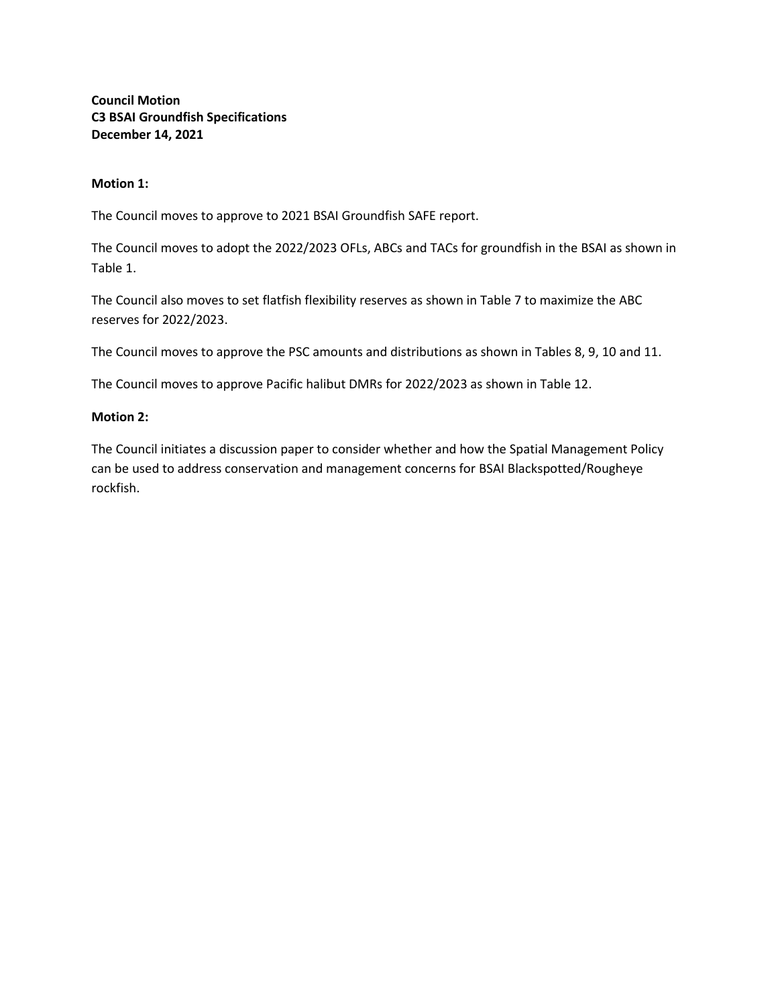**Council Motion C3 BSAI Groundfish Specifications December 14, 2021**

## **Motion 1:**

The Council moves to approve to 2021 BSAI Groundfish SAFE report.

The Council moves to adopt the 2022/2023 OFLs, ABCs and TACs for groundfish in the BSAI as shown in Table 1.

The Council also moves to set flatfish flexibility reserves as shown in Table 7 to maximize the ABC reserves for 2022/2023.

The Council moves to approve the PSC amounts and distributions as shown in Tables 8, 9, 10 and 11.

The Council moves to approve Pacific halibut DMRs for 2022/2023 as shown in Table 12.

## **Motion 2:**

The Council initiates a discussion paper to consider whether and how the Spatial Management Policy can be used to address conservation and management concerns for BSAI Blackspotted/Rougheye rockfish.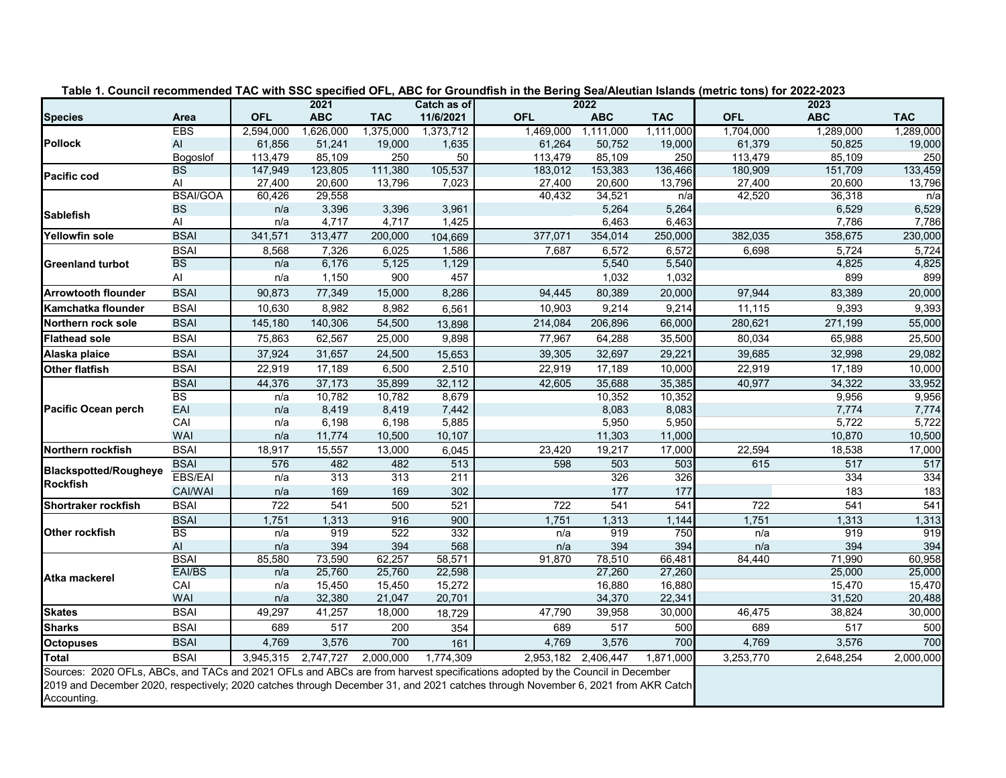|                                                                                                                                                                                                                                                                                 |                        |            | 2021       |            |                          |                     | 2022       |            | Table 1. Council recommended TAC with SSC specified OFL, ABC for Groundfish in the Bering Sea/Aleutian Islands (metric tons) for 2022-2023<br>2023 |            |            |
|---------------------------------------------------------------------------------------------------------------------------------------------------------------------------------------------------------------------------------------------------------------------------------|------------------------|------------|------------|------------|--------------------------|---------------------|------------|------------|----------------------------------------------------------------------------------------------------------------------------------------------------|------------|------------|
| <b>Species</b>                                                                                                                                                                                                                                                                  | Area                   | <b>OFL</b> | <b>ABC</b> | <b>TAC</b> | Catch as of<br>11/6/2021 | <b>OFL</b>          | <b>ABC</b> | <b>TAC</b> | <b>OFL</b>                                                                                                                                         | <b>ABC</b> | <b>TAC</b> |
|                                                                                                                                                                                                                                                                                 | <b>EBS</b>             | 2,594,000  | 1,626,000  | 1,375,000  | 1,373,712                | 1,469,000           | 1,111,000  | 1,111,000  | 1,704,000                                                                                                                                          | 1,289,000  | 1,289,000  |
| <b>Pollock</b>                                                                                                                                                                                                                                                                  | AI                     | 61,856     | 51,241     | 19,000     | 1,635                    | 61,264              | 50,752     | 19,000     | 61,379                                                                                                                                             | 50,825     | 19,000     |
|                                                                                                                                                                                                                                                                                 | Bogoslof               | 113,479    | 85,109     | 250        | 50                       | 113,479             | 85,109     | 250        | 113,479                                                                                                                                            | 85,109     | 250        |
| Pacific cod                                                                                                                                                                                                                                                                     | <b>BS</b>              | 147,949    | 123,805    | 111,380    | 105,537                  | 183,012             | 153,383    | 136,466    | 180,909                                                                                                                                            | 151,709    | 133,459    |
|                                                                                                                                                                                                                                                                                 | Al                     | 27,400     | 20,600     | 13,796     | 7,023                    | 27,400              | 20,600     | 13,796     | 27,400                                                                                                                                             | 20,600     | 13,796     |
|                                                                                                                                                                                                                                                                                 | <b>BSAI/GOA</b>        | 60,426     | 29,558     |            |                          | 40,432              | 34,521     | n/a        | 42,520                                                                                                                                             | 36,318     | n/a        |
| <b>Sablefish</b>                                                                                                                                                                                                                                                                | <b>BS</b>              | n/a        | 3,396      | 3,396      | 3,961                    |                     | 5,264      | 5,264      |                                                                                                                                                    | 6,529      | 6,529      |
|                                                                                                                                                                                                                                                                                 | Al                     | n/a        | 4,717      | 4,717      | 1,425                    |                     | 6,463      | 6,463      |                                                                                                                                                    | 7,786      | 7,786      |
| Yellowfin sole                                                                                                                                                                                                                                                                  | <b>BSAI</b>            | 341,571    | 313,477    | 200,000    | 104,669                  | 377,071             | 354,014    | 250,000    | 382,035                                                                                                                                            | 358,675    | 230,000    |
|                                                                                                                                                                                                                                                                                 | <b>BSAI</b>            | 8,568      | 7,326      | 6,025      | 1,586                    | 7,687               | 6,572      | 6,572      | 6,698                                                                                                                                              | 5,724      | 5,724      |
| <b>Greenland turbot</b>                                                                                                                                                                                                                                                         | <b>BS</b>              | n/a        | 6,176      | 5,125      | 1,129                    |                     | 5,540      | 5,540      |                                                                                                                                                    | 4,825      | 4,825      |
|                                                                                                                                                                                                                                                                                 | Al                     | n/a        | 1,150      | 900        | 457                      |                     | 1,032      | 1,032      |                                                                                                                                                    | 899        | 899        |
| <b>Arrowtooth flounder</b>                                                                                                                                                                                                                                                      | <b>BSAI</b>            | 90,873     | 77,349     | 15,000     | 8,286                    | 94,445              | 80,389     | 20,000     | 97,944                                                                                                                                             | 83,389     | 20,000     |
| Kamchatka flounder                                                                                                                                                                                                                                                              | <b>BSAI</b>            | 10,630     | 8,982      | 8,982      | 6,561                    | 10,903              | 9,214      | 9,214      | 11,115                                                                                                                                             | 9,393      | 9,393      |
| Northern rock sole                                                                                                                                                                                                                                                              | <b>BSAI</b>            | 145,180    | 140,306    | 54,500     | 13,898                   | 214,084             | 206,896    | 66,000     | 280,621                                                                                                                                            | 271,199    | 55,000     |
| <b>Flathead sole</b>                                                                                                                                                                                                                                                            | <b>BSAI</b>            | 75,863     | 62,567     | 25,000     | 9,898                    | 77,967              | 64,288     | 35,500     | 80,034                                                                                                                                             | 65,988     | 25,500     |
| Alaska plaice                                                                                                                                                                                                                                                                   | <b>BSAI</b>            | 37,924     | 31,657     | 24,500     | 15,653                   | 39,305              | 32,697     | 29,221     | 39,685                                                                                                                                             | 32,998     | 29,082     |
| Other flatfish                                                                                                                                                                                                                                                                  | <b>BSAI</b>            | 22,919     | 17,189     | 6,500      | 2,510                    | 22,919              | 17,189     | 10,000     | 22,919                                                                                                                                             | 17,189     | 10,000     |
|                                                                                                                                                                                                                                                                                 | <b>BSAI</b>            | 44,376     | 37,173     | 35,899     | 32,112                   | 42,605              | 35,688     | 35,385     | 40,977                                                                                                                                             | 34,322     | 33,952     |
|                                                                                                                                                                                                                                                                                 | BS                     | n/a        | 10,782     | 10,782     | 8,679                    |                     | 10,352     | 10,352     |                                                                                                                                                    | 9,956      | 9,956      |
| <b>Pacific Ocean perch</b>                                                                                                                                                                                                                                                      | EAI                    | n/a        | 8,419      | 8,419      | 7,442                    |                     | 8,083      | 8,083      |                                                                                                                                                    | 7,774      | 7,774      |
|                                                                                                                                                                                                                                                                                 | CAI                    | n/a        | 6,198      | 6,198      | 5,885                    |                     | 5,950      | 5,950      |                                                                                                                                                    | 5,722      | 5,722      |
|                                                                                                                                                                                                                                                                                 | <b>WAI</b>             | n/a        | 11,774     | 10,500     | 10,107                   |                     | 11,303     | 11,000     |                                                                                                                                                    | 10,870     | 10,500     |
| Northern rockfish                                                                                                                                                                                                                                                               | <b>BSAI</b>            | 18,917     | 15,557     | 13,000     | 6,045                    | 23,420              | 19,217     | 17,000     | 22,594                                                                                                                                             | 18,538     | 17,000     |
| <b>Blackspotted/Rougheye</b>                                                                                                                                                                                                                                                    | <b>BSAI</b>            | 576        | 482        | 482        | 513                      | 598                 | 503        | 503        | 615                                                                                                                                                | 517        | 517        |
| <b>Rockfish</b>                                                                                                                                                                                                                                                                 | <b>EBS/EAI</b>         | n/a        | 313        | 313        | 211                      |                     | 326        | 326        |                                                                                                                                                    | 334        | 334        |
|                                                                                                                                                                                                                                                                                 | CAI/WAI                | n/a        | 169        | 169        | 302                      |                     | 177        | 177        |                                                                                                                                                    | 183        | 183        |
| Shortraker rockfish                                                                                                                                                                                                                                                             | <b>BSAI</b>            | 722        | 541        | 500        | 521                      | 722                 | 541        | 541        | 722                                                                                                                                                | 541        | 541        |
|                                                                                                                                                                                                                                                                                 | <b>BSAI</b>            | 1,751      | 1,313      | 916        | 900                      | 1,751               | 1,313      | 1,144      | 1,751                                                                                                                                              | 1,313      | 1,313      |
| <b>Other rockfish</b>                                                                                                                                                                                                                                                           | $\overline{\text{BS}}$ | n/a        | 919        | 522        | 332                      | n/a                 | 919        | 750        | n/a                                                                                                                                                | 919        | 919        |
|                                                                                                                                                                                                                                                                                 | $\mathsf{Al}\xspace$   | n/a        | 394        | 394        | 568                      | n/a                 | 394        | 394        | n/a                                                                                                                                                | 394        | 394        |
|                                                                                                                                                                                                                                                                                 | <b>BSAI</b>            | 85,580     | 73,590     | 62,257     | 58,571                   | 91,870              | 78,510     | 66,481     | 84,440                                                                                                                                             | 71,990     | 60,958     |
| Atka mackerel                                                                                                                                                                                                                                                                   | EAI/BS                 | n/a        | 25,760     | 25,760     | 22,598                   |                     | 27,260     | 27,260     |                                                                                                                                                    | 25,000     | 25,000     |
|                                                                                                                                                                                                                                                                                 | CAI                    | n/a        | 15,450     | 15,450     | 15,272                   |                     | 16,880     | 16,880     |                                                                                                                                                    | 15,470     | 15,470     |
|                                                                                                                                                                                                                                                                                 | <b>WAI</b>             | n/a        | 32,380     | 21,047     | 20,701                   |                     | 34,370     | 22,341     |                                                                                                                                                    | 31,520     | 20,488     |
| <b>Skates</b>                                                                                                                                                                                                                                                                   | <b>BSAI</b>            | 49,297     | 41,257     | 18,000     | 18,729                   | 47,790              | 39,958     | 30,000     | 46,475                                                                                                                                             | 38,824     | 30,000     |
| <b>Sharks</b>                                                                                                                                                                                                                                                                   | <b>BSAI</b>            | 689        | 517        | 200        | 354                      | 689                 | 517        | 500        | 689                                                                                                                                                | 517        | 500        |
| <b>Octopuses</b>                                                                                                                                                                                                                                                                | <b>BSAI</b>            | 4,769      | 3,576      | 700        | 161                      | 4,769               | 3,576      | 700        | 4,769                                                                                                                                              | 3,576      | 700        |
| <b>Total</b>                                                                                                                                                                                                                                                                    | <b>BSAI</b>            | 3,945,315  | 2,747,727  | 2,000,000  | 1,774,309                | 2,953,182 2,406,447 |            | 1,871,000  | 3,253,770                                                                                                                                          | 2,648,254  | 2,000,000  |
| Sources: 2020 OFLs, ABCs, and TACs and 2021 OFLs and ABCs are from harvest specifications adopted by the Council in December<br>2019 and December 2020, respectively; 2020 catches through December 31, and 2021 catches through November 6, 2021 from AKR Catch<br>Accounting. |                        |            |            |            |                          |                     |            |            |                                                                                                                                                    |            |            |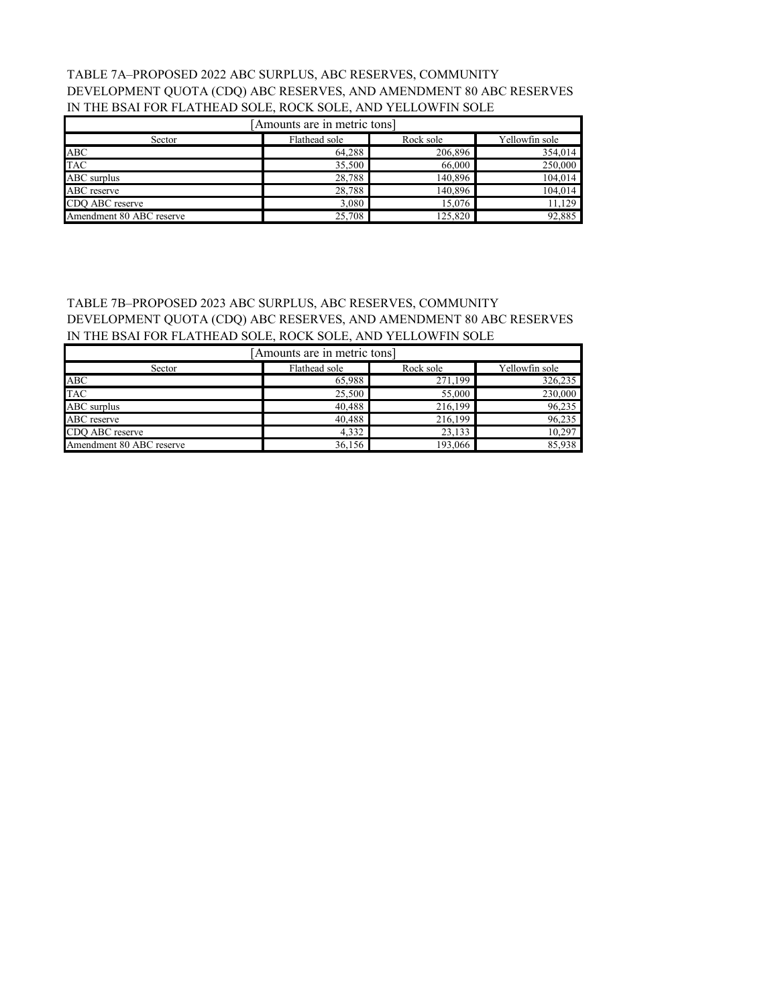## TABLE 7A–PROPOSED 2022 ABC SURPLUS, ABC RESERVES, COMMUNITY DEVELOPMENT QUOTA (CDQ) ABC RESERVES, AND AMENDMENT 80 ABC RESERVES IN THE BSAI FOR FLATHEAD SOLE, ROCK SOLE, AND YELLOWFIN SOLE

| Amounts are in metric tons]                            |        |         |         |  |  |  |
|--------------------------------------------------------|--------|---------|---------|--|--|--|
| Yellowfin sole<br>Flathead sole<br>Rock sole<br>Sector |        |         |         |  |  |  |
| ABC                                                    | 64,288 | 206,896 | 354,014 |  |  |  |
| <b>TAC</b>                                             | 35,500 | 66,000  | 250,000 |  |  |  |
| <b>ABC</b> surplus                                     | 28,788 | 140,896 | 104.014 |  |  |  |
| ABC reserve                                            | 28,788 | 140,896 | 104,014 |  |  |  |
| CDO ABC reserve                                        | 3,080  | 15,076  | 11,129  |  |  |  |
| Amendment 80 ABC reserve                               | 25,708 | 125.820 | 92,885  |  |  |  |

# TABLE 7B–PROPOSED 2023 ABC SURPLUS, ABC RESERVES, COMMUNITY DEVELOPMENT QUOTA (CDQ) ABC RESERVES, AND AMENDMENT 80 ABC RESERVES IN THE BSAI FOR FLATHEAD SOLE, ROCK SOLE, AND YELLOWFIN SOLE

| [Amounts are in metric tons] |               |           |                |  |  |  |
|------------------------------|---------------|-----------|----------------|--|--|--|
| Sector                       | Flathead sole | Rock sole | Yellowfin sole |  |  |  |
| ABC                          | 65,988        | 271,199   | 326,235        |  |  |  |
| <b>TAC</b>                   | 25,500        | 55,000    | 230,000        |  |  |  |
| <b>ABC</b> surplus           | 40.488        | 216,199   | 96,235         |  |  |  |
| ABC reserve                  | 40.488        | 216,199   | 96,235         |  |  |  |
| CDO ABC reserve              | 4,332         | 23,133    | 10,297         |  |  |  |
| Amendment 80 ABC reserve     | 36.156        | 193,066   | 85.938         |  |  |  |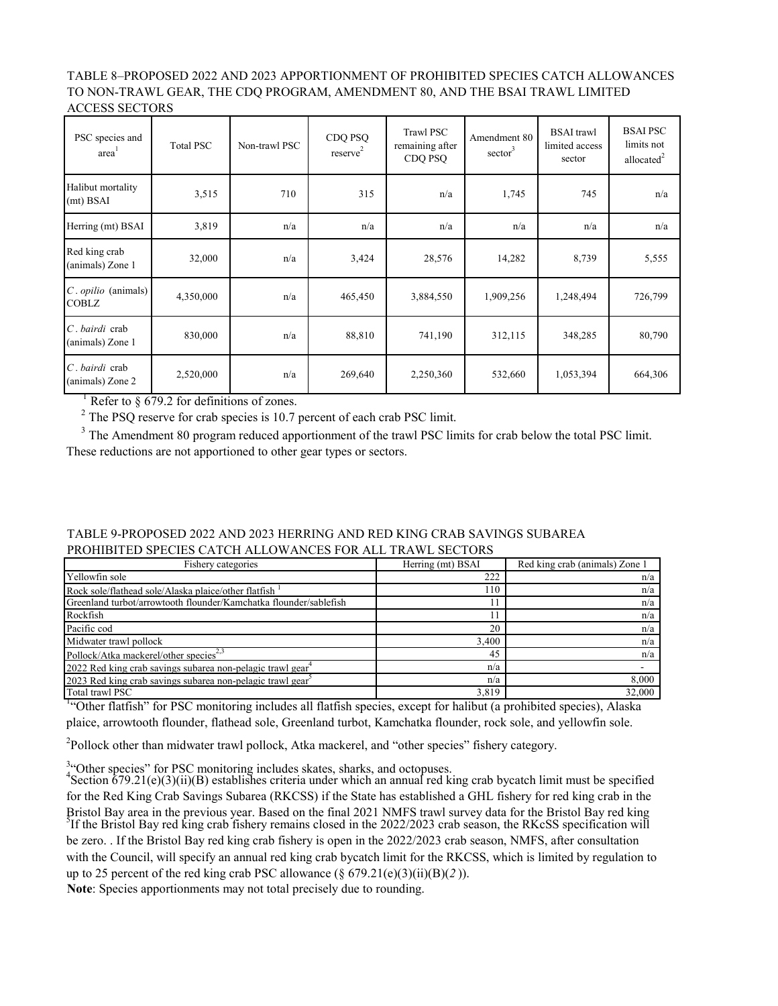TABLE 8–PROPOSED 2022 AND 2023 APPORTIONMENT OF PROHIBITED SPECIES CATCH ALLOWANCES TO NON-TRAWL GEAR, THE CDQ PROGRAM, AMENDMENT 80, AND THE BSAI TRAWL LIMITED ACCESS SECTORS

| PSC species and<br>area <sup>'</sup>          | <b>Total PSC</b> | Non-trawl PSC | CDQ PSQ<br>reserve <sup>2</sup> | <b>Trawl PSC</b><br>remaining after<br>CDQ PSQ | Amendment 80<br>$sector^3$ | <b>BSAI</b> trawl<br>limited access<br>sector | <b>BSAI PSC</b><br>limits not<br>allocated <sup>2</sup> |
|-----------------------------------------------|------------------|---------------|---------------------------------|------------------------------------------------|----------------------------|-----------------------------------------------|---------------------------------------------------------|
| Halibut mortality<br>$(mt)$ BSAI              | 3,515            | 710           | 315                             | n/a                                            | 1,745                      | 745                                           | n/a                                                     |
| Herring (mt) BSAI                             | 3,819            | n/a           | n/a                             | n/a                                            | n/a                        | n/a                                           | n/a                                                     |
| Red king crab<br>(animals) Zone 1             | 32,000           | n/a           | 3,424                           | 28,576                                         | 14,282                     | 8,739                                         | 5,555                                                   |
| $C$ . <i>opilio</i> (animals)<br><b>COBLZ</b> | 4,350,000        | n/a           | 465,450                         | 3,884,550                                      | 1,909,256                  | 1,248,494                                     | 726,799                                                 |
| C. bairdi crab<br>(animals) Zone 1            | 830,000          | n/a           | 88,810                          | 741,190                                        | 312,115                    | 348,285                                       | 80,790                                                  |
| C. bairdi crab<br>(animals) Zone 2            | 2,520,000        | n/a           | 269,640                         | 2,250,360                                      | 532,660                    | 1,053,394                                     | 664,306                                                 |

<sup>1</sup> Refer to § 679.2 for definitions of zones.

<sup>2</sup> The PSQ reserve for crab species is 10.7 percent of each crab PSC limit.

<sup>3</sup> The Amendment 80 program reduced apportionment of the trawl PSC limits for crab below the total PSC limit. These reductions are not apportioned to other gear types or sectors.

| TABLE 9-PROPOSED 2022 AND 2023 HERRING AND RED KING CRAB SAVINGS SUBAREA |  |
|--------------------------------------------------------------------------|--|
| PROHIBITED SPECIES CATCH ALLOWANCES FOR ALL TRAWL SECTORS                |  |

| Fishery categories                                                     | Herring (mt) BSAI | Red king crab (animals) Zone 1 |
|------------------------------------------------------------------------|-------------------|--------------------------------|
| Yellowfin sole                                                         | 222               | n/a                            |
| Rock sole/flathead sole/Alaska plaice/other flatfish <sup>1</sup>      | 110               | n/a                            |
| Greenland turbot/arrowtooth flounder/Kamchatka flounder/sablefish      |                   | n/a                            |
| Rockfish                                                               |                   | n/a                            |
| Pacific cod                                                            | 20                | n/a                            |
| Midwater trawl pollock                                                 | 3.400             | n/a                            |
| Pollock/Atka mackerel/other species <sup>2,3</sup>                     | 45                | n/a                            |
| 2022 Red king crab savings subarea non-pelagic trawl gear <sup>4</sup> | n/a               |                                |
| 2023 Red king crab savings subarea non-pelagic trawl gear <sup>3</sup> | n/a               | 8,000                          |
| Total trawl PSC                                                        | 3.819             | 32,000                         |

Total trawl PSC 32,000<br><sup>1</sup>"Other flatfish" for PSC monitoring includes all flatfish species, except for halibut (a prohibited species), Alaska plaice, arrowtooth flounder, flathead sole, Greenland turbot, Kamchatka flounder, rock sole, and yellowfin sole.

 $2$ Pollock other than midwater trawl pollock, Atka mackerel, and "other species" fishery category.

<sup>3.</sup> Other species" for PSC monitoring includes skates, sharks, and octopuses.<br><sup>4</sup>Section 679.21(e)(3)(ii)(B) establishes criteria under which an annual red king crab bycatch limit must be specified for the Red King Crab Savings Subarea (RKCSS) if the State has established a GHL fishery for red king crab in the Bristol Bay area in the previous year. Based on the final 2021 NMFS trawl survey data for the Bristol Bay red king<br><sup>5</sup>If the Bristol Bay red king crab fishery remains closed in the 2022/2023 crab season, the RKcSS specific be zero. . If the Bristol Bay red king crab fishery is open in the 2022/2023 crab season, NMFS, after consultation with the Council, will specify an annual red king crab bycatch limit for the RKCSS, which is limited by regulation to up to 25 percent of the red king crab PSC allowance (§ 679.21(e)(3)(ii)(B)(*2* )).

**Note**: Species apportionments may not total precisely due to rounding.